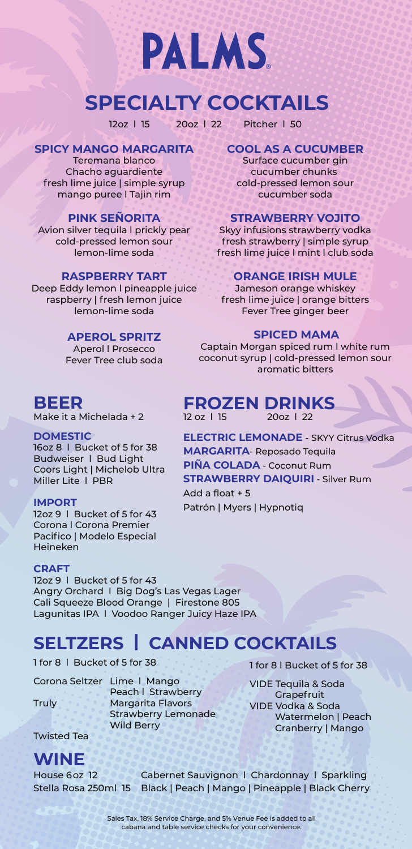

# **SPECIALTY COCKTAILS**

12oz l 15 20oz l 22 Pitcher l 50

### **SPICY MANGO MARGARITA COOL AS A CUCUMBER**

Chacho aguardiente cucumber chunks fresh lime juice | simple syrup cold-pressed lemon sour mango puree l Tajin rim cucumber soda

Avion silver tequila I prickly pear Skyy infusions strawberry vodka

Deep Eddy lemon I pineapple juice Jameson orange whiskey raspberry | fresh lemon juice fresh lime juice | orange bitters

Make it a Michelada + 2

16oz 8 I Bucket of 5 for 38 **MARGARITA-** Reposado Tequila<br>Budweiser I Bud Light **PIÑA COLADA -** Coconut Rum<br>Coors Light | Michelob Ultra **FIRAWBERRY DAIQUIRI -** Silv

Corona l Corona Premier Pacifico | Modelo Especial Heineken

### **CRAFT**

12oz 9 | Bucket of 5 for 43 Angry Orchard l Big Dog's Las Vegas Lager Cali Squeeze Blood Orange | Firestone 805 Lagunitas IPA l Voodoo Ranger Juicy Haze IPA

### **SELTZERS | CANNED COCKTAILS**

1 for 8 | Bucket of 5 for 38 1 for 8 | Bucket of 5 for 38

Corona Seltzer Lime l Mango Peach l Strawberry Margarita Flavors Strawberry Lemonade

VIDE Tequila & Soda **Grapefruit** VIDE Vodka & Soda Wild Berry Watermelon | Peach Cranberry | Mango

Twisted Tea

Truly

### **WINE**

House 6oz 12 Cabernet Sauvignon l Chardonnay l Sparkling Stella Rosa 250ml 15 Black | Peach | Mango | Pineapple | Black Cherry

Teremana blanco Surface cucumber gin

### **PINK SEÑORITA STRAWBERRY VOJITO**

cold-pressed lemon sour fresh strawberry | simple syrup lemon-lime soda fresh lime juice l mint l club soda

### **RASPBERRY TART ORANGE IRISH MULE**

lemon-lime soda Fever Tree ginger beer

**APEROL SPRITZ SPICED MAMA**<br>Aperol I Prosecco Captain Morgan spiced rum I Captain Morgan spiced rum I white rum Fever Tree club soda coconut syrup | cold-pressed lemon sour aromatic bitters

# **BEER FROZEN DRINKS**<br>Make it a Michelada + 2 **PROZEN** 2007 | 22

**DOMESTIC ELECTRIC LEMONADE** - SKYY Citrus Vodka<br>160z 8 | Bucket of 5 for 38 **MADCAPITA** Depesade Toquila

### **STRAWBERRY DAIQUIRI - Silver Rum** Add a float + 5

**IMPORT**<br>12oz 9 l Bucket of 5 for 43 Patrón | Myers | Hypnotiq

Sales Tax, 18% Service Charge, and 5% Venue Fee is added to all cabana and table service checks for your convenience.